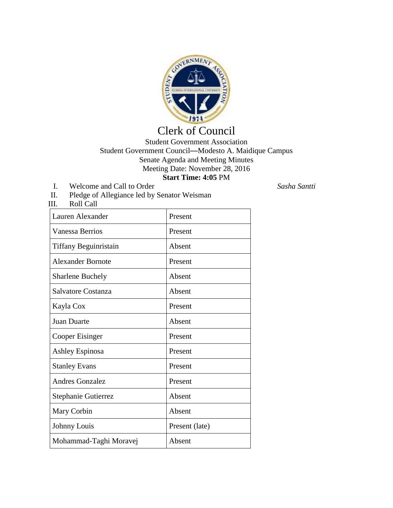

## Clerk of Council

## Student Government Association Student Government Council—Modesto A. Maidique Campus Senate Agenda and Meeting Minutes Meeting Date: November 28, 2016 **Start Time: 4:05** PM

- I. Welcome and Call to Order *Sasha Santti*
- II. Pledge of Allegiance led by Senator Weisman

| Roll Call<br>III.        |                |
|--------------------------|----------------|
| Lauren Alexander         | Present        |
| Vanessa Berrios          | Present        |
| Tiffany Beguinristain    | Absent         |
| <b>Alexander Bornote</b> | Present        |
| <b>Sharlene Buchely</b>  | Absent         |
| Salvatore Costanza       | Absent         |
| Kayla Cox                | Present        |
| <b>Juan Duarte</b>       | Absent         |
| Cooper Eisinger          | Present        |
| Ashley Espinosa          | Present        |
| <b>Stanley Evans</b>     | Present        |
| <b>Andres Gonzalez</b>   | Present        |
| Stephanie Gutierrez      | Absent         |
| Mary Corbin              | Absent         |
| Johnny Louis             | Present (late) |
| Mohammad-Taghi Moravej   | Absent         |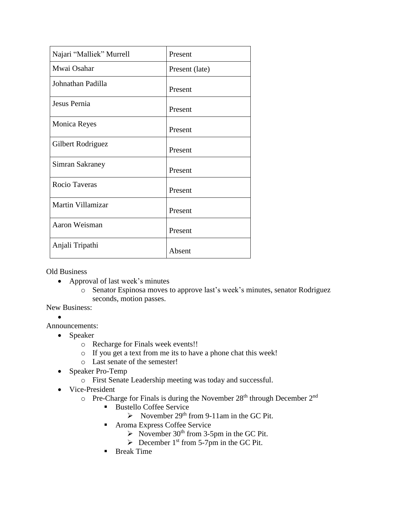| Najari "Malliek" Murrell | Present        |
|--------------------------|----------------|
| Mwai Osahar              | Present (late) |
| Johnathan Padilla        | Present        |
| Jesus Pernia             | Present        |
| <b>Monica Reyes</b>      | Present        |
| Gilbert Rodriguez        | Present        |
| Simran Sakraney          | Present        |
| Rocio Taveras            | Present        |
| Martin Villamizar        | Present        |
| Aaron Weisman            | Present        |
| Anjali Tripathi          | Absent         |

Old Business

- Approval of last week's minutes
	- o Senator Espinosa moves to approve last's week's minutes, senator Rodriguez seconds, motion passes.

New Business:

 $\bullet$ 

Announcements:

- Speaker
	- o Recharge for Finals week events!!
	- o If you get a text from me its to have a phone chat this week!
	- o Last senate of the semester!
- Speaker Pro-Temp
	- o First Senate Leadership meeting was today and successful.
- Vice-President
	- $\circ$  Pre-Charge for Finals is during the November 28<sup>th</sup> through December 2<sup>nd</sup>
		- Bustello Coffee Service
			- November 29<sup>th</sup> from 9-11am in the GC Pit.
		- Aroma Express Coffee Service
			- November 30<sup>th</sup> from 3-5pm in the GC Pit.
			- $\triangleright$  December 1<sup>st</sup> from 5-7pm in the GC Pit.
		- **Break Time**